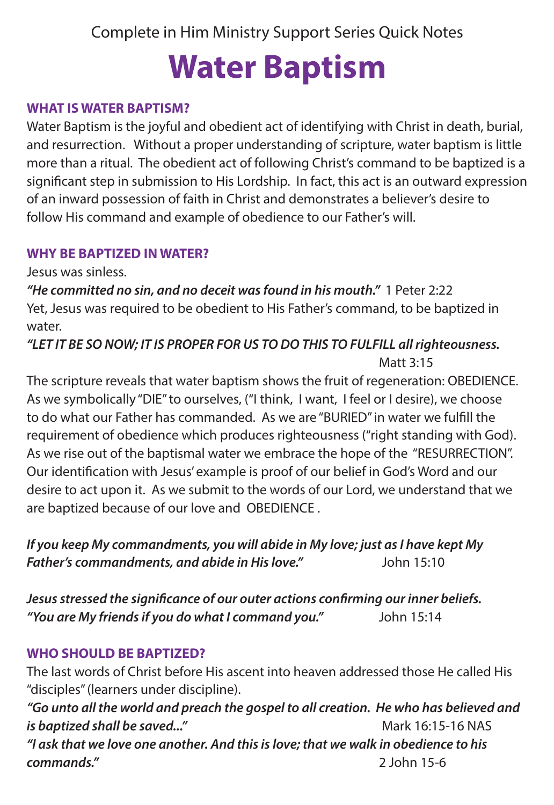Complete in Him Ministry Support Series Quick Notes

# **Water Baptism**

## **WHAT IS WATER BAPTISM?**

Water Baptism is the joyful and obedient act of identifying with Christ in death, burial, and resurrection. Without a proper understanding of scripture, water baptism is little more than a ritual. The obedient act of following Christ's command to be baptized is a significant step in submission to His Lordship. In fact, this act is an outward expression of an inward possession of faith in Christ and demonstrates a believer's desire to follow His command and example of obedience to our Father's will.

#### **WHY BE BAPTIZED IN WATER?**

Jesus was sinless.

*"He committed no sin, and no deceit was found in his mouth."* 1 Peter 2:22 Yet, Jesus was required to be obedient to His Father's command, to be baptized in water.

*"LET IT BE SO NOW; IT IS PROPER FOR US TO DO THIS TO FULFILL all righteousness.*  Matt 3:15

The scripture reveals that water baptism shows the fruit of regeneration: OBEDIENCE. As we symbolically "DIE" to ourselves, ("I think, I want, I feel or I desire), we choose to do what our Father has commanded. As we are "BURIED" in water we fulfill the requirement of obedience which produces righteousness ("right standing with God). As we rise out of the baptismal water we embrace the hope of the "RESURRECTION". Our identification with Jesus' example is proof of our belief in God's Word and our desire to act upon it. As we submit to the words of our Lord, we understand that we are baptized because of our love and OBEDIENCE .

*If you keep My commandments, you will abide in My love; just as I have kept My Father's commandments, and abide in His love."* John 15:10

*Jesus stressed the significance of our outer actions confirming our inner beliefs. "You are My friends if you do what I command you."* John 15:14

## **WHO SHOULD BE BAPTIZED?**

The last words of Christ before His ascent into heaven addressed those He called His "disciples" (learners under discipline).

*"Go unto all the world and preach the gospel to all creation. He who has believed and is baptized shall be saved..."* Mark 16:15-16 NAS *"I ask that we love one another. And this is love; that we walk in obedience to his commands."* 2 John 15-6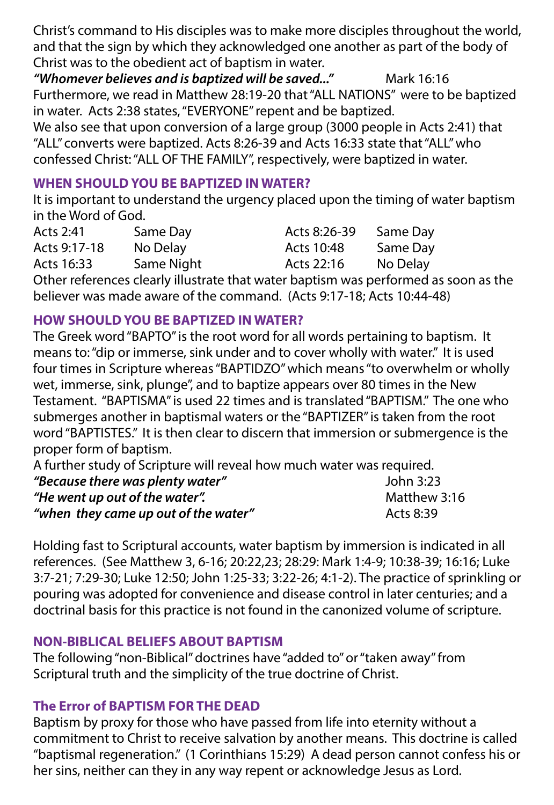Christ's command to His disciples was to make more disciples throughout the world, and that the sign by which they acknowledged one another as part of the body of Christ was to the obedient act of baptism in water.

"Whomever believes and is baptized will be saved..." Mark 16:16 Furthermore, we read in Matthew 28:19-20 that "ALL NATIONS" were to be baptized in water. Acts 2:38 states, "EVERYONE" repent and be baptized.

We also see that upon conversion of a large group (3000 people in Acts 2:41) that "ALL" converts were baptized. Acts 8:26-39 and Acts 16:33 state that "ALL" who confessed Christ: "ALL OF THE FAMILY", respectively, were baptized in water.

## **WHEN SHOULD YOU BE BAPTIZED IN WATER?**

It is important to understand the urgency placed upon the timing of water baptism in the Word of God.

| Acts 2:41            | Same Day   | Acts 8:26-39 | Same Day |
|----------------------|------------|--------------|----------|
| Acts 9:17-18         | No Delay   | Acts 10:48   | Same Day |
| Acts 16:33           | Same Night | Acts 22:16   | No Delay |
| $\sim$ $\sim$ $\sim$ |            |              |          |

Other references clearly illustrate that water baptism was performed as soon as the believer was made aware of the command. (Acts 9:17-18; Acts 10:44-48)

## **HOW SHOULD YOU BE BAPTIZED IN WATER?**

The Greek word "BAPTO" is the root word for all words pertaining to baptism. It means to: "dip or immerse, sink under and to cover wholly with water." It is used four times in Scripture whereas "BAPTIDZO" which means "to overwhelm or wholly wet, immerse, sink, plunge", and to baptize appears over 80 times in the New Testament. "BAPTISMA" is used 22 times and is translated "BAPTISM." The one who submerges another in baptismal waters or the "BAPTIZER" is taken from the root word "BAPTISTES." It is then clear to discern that immersion or submergence is the proper form of baptism.

A further study of Scripture will reveal how much water was required. *"Because there was plenty water"* John 3:23

| "He went up out of the water".       | Matthew 3:16 |
|--------------------------------------|--------------|
| "when they came up out of the water" | Acts 8:39    |

Holding fast to Scriptural accounts, water baptism by immersion is indicated in all references. (See Matthew 3, 6-16; 20:22,23; 28:29: Mark 1:4-9; 10:38-39; 16:16; Luke 3:7-21; 7:29-30; Luke 12:50; John 1:25-33; 3:22-26; 4:1-2). The practice of sprinkling or pouring was adopted for convenience and disease control in later centuries; and a doctrinal basis for this practice is not found in the canonized volume of scripture.

# **NON-BIBLICAL BELIEFS ABOUT BAPTISM**

The following "non-Biblical" doctrines have "added to" or "taken away" from Scriptural truth and the simplicity of the true doctrine of Christ.

# **The Error of BAPTISM FOR THE DEAD**

Baptism by proxy for those who have passed from life into eternity without a commitment to Christ to receive salvation by another means. This doctrine is called "baptismal regeneration." (1 Corinthians 15:29) A dead person cannot confess his or her sins, neither can they in any way repent or acknowledge Jesus as Lord.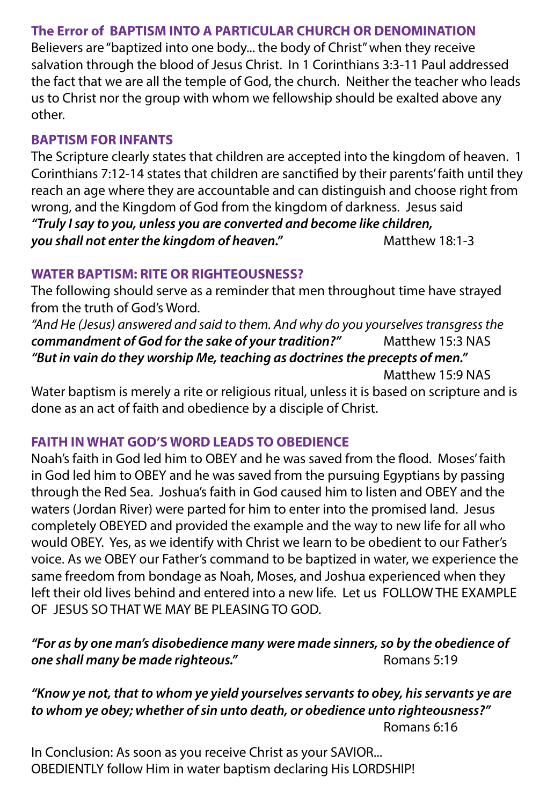## **The Error of BAPTISM INTO A PARTICULAR CHURCH OR DENOMINATION**

Believers are "baptized into one body... the body of Christ" when they receive salvation through the blood of Jesus Christ. In 1 Corinthians 3:3-11 Paul addressed the fact that we are all the temple of God, the church. Neither the teacher who leads us to Christ nor the group with whom we fellowship should be exalted above any other.

## **BAPTISM FOR INFANTS**

The Scripture clearly states that children are accepted into the kingdom of heaven. 1 Corinthians 7:12-14 states that children are sanctified by their parents' faith until they reach an age where they are accountable and can distinguish and choose right from wrong, and the Kingdom of God from the kingdom of darkness. Jesus said *"Truly I say to you, unless you are converted and become like children,*  you shall not enter the kingdom of heaven." Matthew 18:1-3

## **WATER BAPTISM: RITE OR RIGHTEOUSNESS?**

The following should serve as a reminder that men throughout time have strayed from the truth of God's Word.

*"And He (Jesus) answered and said to them. And why do you yourselves transgress the*  commandment of God for the sake of your tradition?" Matthew 15:3 NAS *"But in vain do they worship Me, teaching as doctrines the precepts of men."*  Matthew 15:9 NAS

Water baptism is merely a rite or religious ritual, unless it is based on scripture and is done as an act of faith and obedience by a disciple of Christ.

## **FAITH IN WHAT GOD'S WORD LEADS TO OBEDIENCE**

Noah's faith in God led him to OBEY and he was saved from the flood. Moses' faith in God led him to OBEY and he was saved from the pursuing Egyptians by passing through the Red Sea. Joshua's faith in God caused him to listen and OBEY and the waters (Jordan River) were parted for him to enter into the promised land. Jesus completely OBEYED and provided the example and the way to new life for all who would OBEY. Yes, as we identify with Christ we learn to be obedient to our Father's voice. As we OBEY our Father's command to be baptized in water, we experience the same freedom from bondage as Noah, Moses, and Joshua experienced when they left their old lives behind and entered into a new life. Let us FOLLOW THE EXAMPLE OF JESUS SO THAT WE MAY BE PLEASING TO GOD.

## *"For as by one man's disobedience many were made sinners, so by the obedience of*  **one shall many be made righteous."** The manus S:19

## *"Know ye not, that to whom ye yield yourselves servants to obey, his servants ye are to whom ye obey; whether of sin unto death, or obedience unto righteousness?"* Romans 6:16

In Conclusion: As soon as you receive Christ as your SAVIOR... OBEDIENTLY follow Him in water baptism declaring His LORDSHIP!